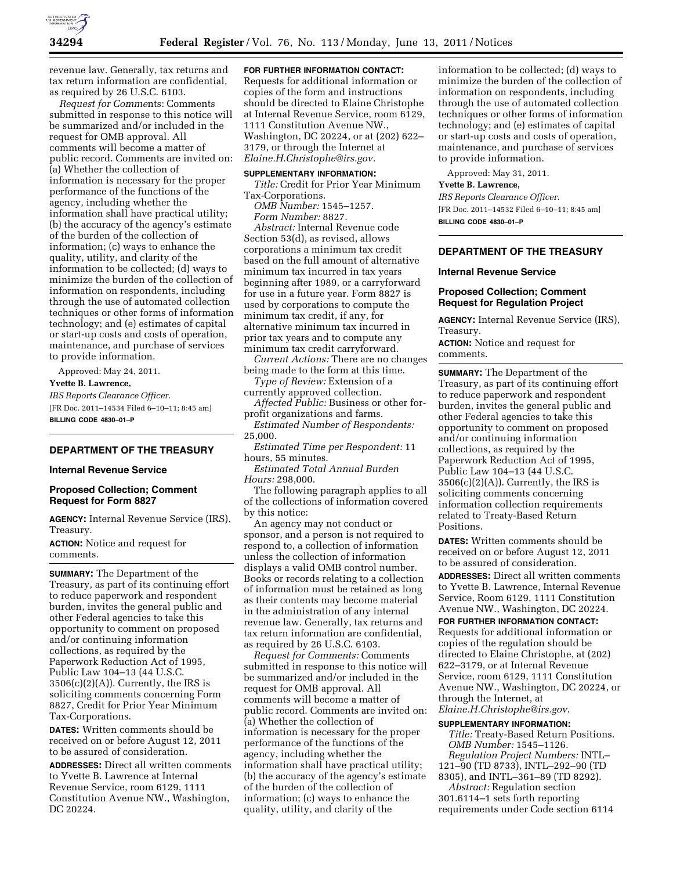

revenue law. Generally, tax returns and tax return information are confidential, as required by 26 U.S.C. 6103.

*Request for Comme*nts: Comments submitted in response to this notice will be summarized and/or included in the request for OMB approval. All comments will become a matter of public record. Comments are invited on: (a) Whether the collection of information is necessary for the proper performance of the functions of the agency, including whether the information shall have practical utility; (b) the accuracy of the agency's estimate of the burden of the collection of information; (c) ways to enhance the quality, utility, and clarity of the information to be collected; (d) ways to minimize the burden of the collection of information on respondents, including through the use of automated collection techniques or other forms of information technology; and (e) estimates of capital or start-up costs and costs of operation, maintenance, and purchase of services to provide information.

Approved: May 24, 2011. **Yvette B. Lawrence,**  *IRS Reports Clearance Officer.*  [FR Doc. 2011–14534 Filed 6–10–11; 8:45 am] **BILLING CODE 4830–01–P** 

## **DEPARTMENT OF THE TREASURY**

### **Internal Revenue Service**

## **Proposed Collection; Comment Request for Form 8827**

**AGENCY:** Internal Revenue Service (IRS), Treasury.

**ACTION:** Notice and request for comments.

**SUMMARY:** The Department of the Treasury, as part of its continuing effort to reduce paperwork and respondent burden, invites the general public and other Federal agencies to take this opportunity to comment on proposed and/or continuing information collections, as required by the Paperwork Reduction Act of 1995, Public Law 104–13 (44 U.S.C.  $3506(c)(2)(A)$ . Currently, the IRS is soliciting comments concerning Form 8827, Credit for Prior Year Minimum Tax-Corporations.

**DATES:** Written comments should be received on or before August 12, 2011 to be assured of consideration.

**ADDRESSES:** Direct all written comments to Yvette B. Lawrence at Internal Revenue Service, room 6129, 1111 Constitution Avenue NW., Washington, DC 20224.

## **FOR FURTHER INFORMATION CONTACT:**

Requests for additional information or copies of the form and instructions should be directed to Elaine Christophe at Internal Revenue Service, room 6129, 1111 Constitution Avenue NW., Washington, DC 20224, or at (202) 622– 3179, or through the Internet at *[Elaine.H.Christophe@irs.gov.](mailto:Elaine.H.Christophe@irs.gov)* 

### **SUPPLEMENTARY INFORMATION:**

*Title:* Credit for Prior Year Minimum Tax-Corporations.

*OMB Number:* 1545–1257. *Form Number:* 8827.

*Abstract:* Internal Revenue code Section 53(d), as revised, allows corporations a minimum tax credit based on the full amount of alternative minimum tax incurred in tax years beginning after 1989, or a carryforward for use in a future year. Form 8827 is used by corporations to compute the minimum tax credit, if any, for alternative minimum tax incurred in prior tax years and to compute any minimum tax credit carryforward.

*Current Actions:* There are no changes being made to the form at this time.

*Type of Review:* Extension of a currently approved collection.

*Affected Public:* Business or other forprofit organizations and farms.

*Estimated Number of Respondents:*  25,000.

*Estimated Time per Respondent:* 11 hours, 55 minutes.

*Estimated Total Annual Burden Hours:* 298,000.

The following paragraph applies to all of the collections of information covered by this notice:

An agency may not conduct or sponsor, and a person is not required to respond to, a collection of information unless the collection of information displays a valid OMB control number. Books or records relating to a collection of information must be retained as long as their contents may become material in the administration of any internal revenue law. Generally, tax returns and tax return information are confidential, as required by 26 U.S.C. 6103.

*Request for Comments:* Comments submitted in response to this notice will be summarized and/or included in the request for OMB approval. All comments will become a matter of public record. Comments are invited on: (a) Whether the collection of information is necessary for the proper performance of the functions of the agency, including whether the information shall have practical utility; (b) the accuracy of the agency's estimate of the burden of the collection of information; (c) ways to enhance the quality, utility, and clarity of the

information to be collected; (d) ways to minimize the burden of the collection of information on respondents, including through the use of automated collection techniques or other forms of information technology; and (e) estimates of capital or start-up costs and costs of operation, maintenance, and purchase of services to provide information.

Approved: May 31, 2011.

#### **Yvette B. Lawrence,**

*IRS Reports Clearance Officer.*  [FR Doc. 2011–14532 Filed 6–10–11; 8:45 am] **BILLING CODE 4830–01–P** 

## **DEPARTMENT OF THE TREASURY**

#### **Internal Revenue Service**

## **Proposed Collection; Comment Request for Regulation Project**

**AGENCY:** Internal Revenue Service (IRS), Treasury.

**ACTION:** Notice and request for comments.

**SUMMARY:** The Department of the Treasury, as part of its continuing effort to reduce paperwork and respondent burden, invites the general public and other Federal agencies to take this opportunity to comment on proposed and/or continuing information collections, as required by the Paperwork Reduction Act of 1995, Public Law 104–13 (44 U.S.C.  $3506(c)(2)(A)$ . Currently, the IRS is soliciting comments concerning information collection requirements related to Treaty-Based Return Positions.

**DATES:** Written comments should be received on or before August 12, 2011 to be assured of consideration. **ADDRESSES:** Direct all written comments to Yvette B. Lawrence, Internal Revenue

Service, Room 6129, 1111 Constitution Avenue NW., Washington, DC 20224. **FOR FURTHER INFORMATION CONTACT:** 

Requests for additional information or copies of the regulation should be directed to Elaine Christophe, at (202) 622–3179, or at Internal Revenue Service, room 6129, 1111 Constitution Avenue NW., Washington, DC 20224, or through the Internet, at *[Elaine.H.Christophe@irs.gov](mailto:Elaine.H.Christophe@irs.gov)*.

# **SUPPLEMENTARY INFORMATION:**

*Title:* Treaty-Based Return Positions. *OMB Number:* 1545–1126. *Regulation Project Numbers:* INTL– 121–90 (TD 8733), INTL–292–90 (TD 8305), and INTL–361–89 (TD 8292).

*Abstract:* Regulation section 301.6114–1 sets forth reporting requirements under Code section 6114